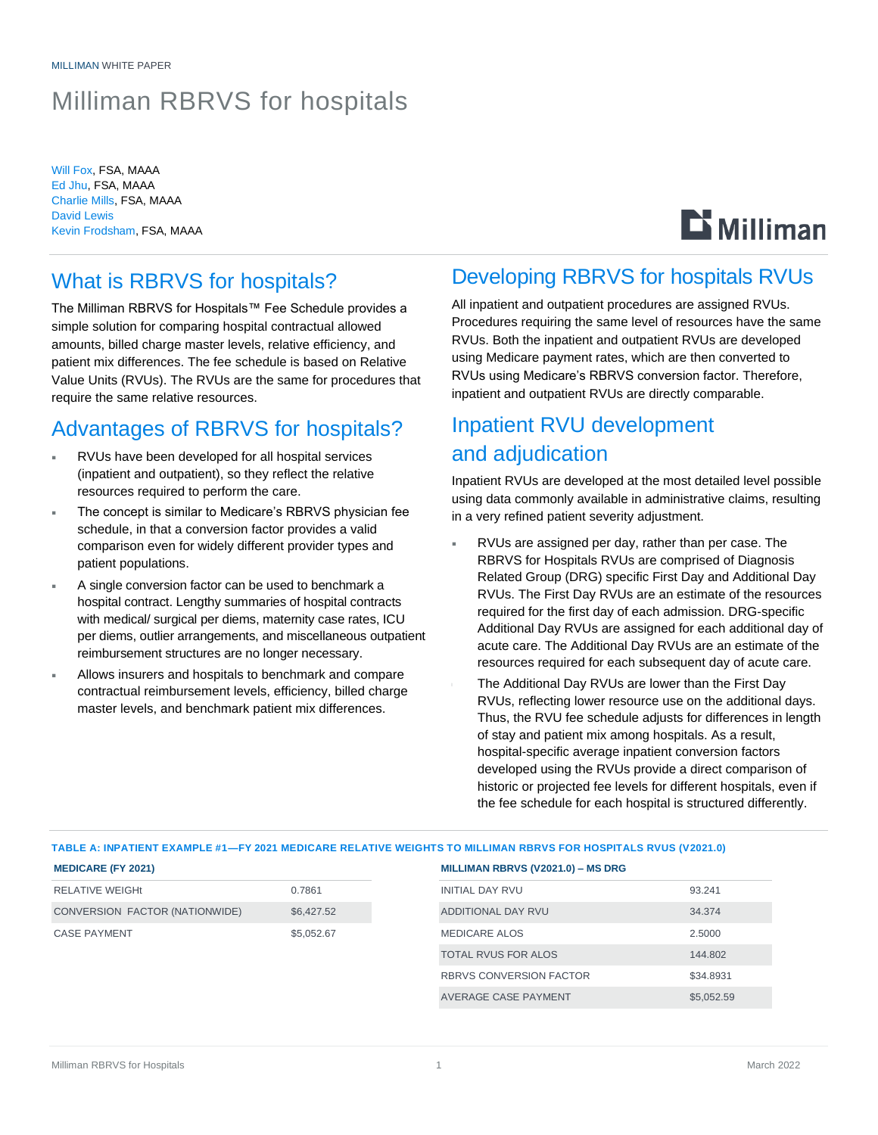# Milliman RBRVS for hospitals

Will Fox, FSA, MAAA Ed Jhu, FSA, MAAA Charlie Mills, FSA, MAAA David Lewis Kevin Frodsham, FSA, MAAA

# **Li** Milliman

### What is RBRVS for hospitals?

The Milliman RBRVS for Hospitals™ Fee Schedule provides a simple solution for comparing hospital contractual allowed amounts, billed charge master levels, relative efficiency, and patient mix differences. The fee schedule is based on Relative Value Units (RVUs). The RVUs are the same for procedures that require the same relative resources.

### Advantages of RBRVS for hospitals?

- RVUs have been developed for all hospital services (inpatient and outpatient), so they reflect the relative resources required to perform the care.
- The concept is similar to Medicare's RBRVS physician fee schedule, in that a conversion factor provides a valid comparison even for widely different provider types and patient populations.
- A single conversion factor can be used to benchmark a hospital contract. Lengthy summaries of hospital contracts with medical/ surgical per diems, maternity case rates, ICU per diems, outlier arrangements, and miscellaneous outpatient reimbursement structures are no longer necessary.
- Allows insurers and hospitals to benchmark and compare contractual reimbursement levels, efficiency, billed charge master levels, and benchmark patient mix differences.

### Developing RBRVS for hospitals RVUs

All inpatient and outpatient procedures are assigned RVUs. Procedures requiring the same level of resources have the same RVUs. Both the inpatient and outpatient RVUs are developed using Medicare payment rates, which are then converted to RVUs using Medicare's RBRVS conversion factor. Therefore, inpatient and outpatient RVUs are directly comparable.

## Inpatient RVU development and adjudication

Inpatient RVUs are developed at the most detailed level possible using data commonly available in administrative claims, resulting in a very refined patient severity adjustment.

- RVUs are assigned per day, rather than per case. The RBRVS for Hospitals RVUs are comprised of Diagnosis Related Group (DRG) specific First Day and Additional Day RVUs. The First Day RVUs are an estimate of the resources required for the first day of each admission. DRG-specific Additional Day RVUs are assigned for each additional day of acute care. The Additional Day RVUs are an estimate of the resources required for each subsequent day of acute care.
- The Additional Day RVUs are lower than the First Day RVUs, reflecting lower resource use on the additional days. Thus, the RVU fee schedule adjusts for differences in length of stay and patient mix among hospitals. As a result, hospital-specific average inpatient conversion factors developed using the RVUs provide a direct comparison of historic or projected fee levels for different hospitals, even if the fee schedule for each hospital is structured differently.

| <b>MEDICARE (FY 2021)</b>      |            | MILLIMAN RBRVS (V2021.0) - MS DRG |            |
|--------------------------------|------------|-----------------------------------|------------|
| <b>RELATIVE WEIGHt</b>         | 0.7861     | <b>INITIAL DAY RVU</b>            | 93.241     |
| CONVERSION FACTOR (NATIONWIDE) | \$6,427.52 | ADDITIONAL DAY RVU                | 34.374     |
| <b>CASE PAYMENT</b>            | \$5,052.67 | MEDICARE ALOS                     | 2.5000     |
|                                |            | <b>TOTAL RVUS FOR ALOS</b>        | 144.802    |
|                                |            | <b>RBRVS CONVERSION FACTOR</b>    | \$34.8931  |
|                                |            | AVERAGE CASE PAYMENT              | \$5.052.59 |

### **TABLE A: INPATIENT EXAMPLE #1—FY 2021 MEDICARE RELATIVE WEIGHTS TO MILLIMAN RBRVS FOR HOSPITALS RVUS (V2021.0)**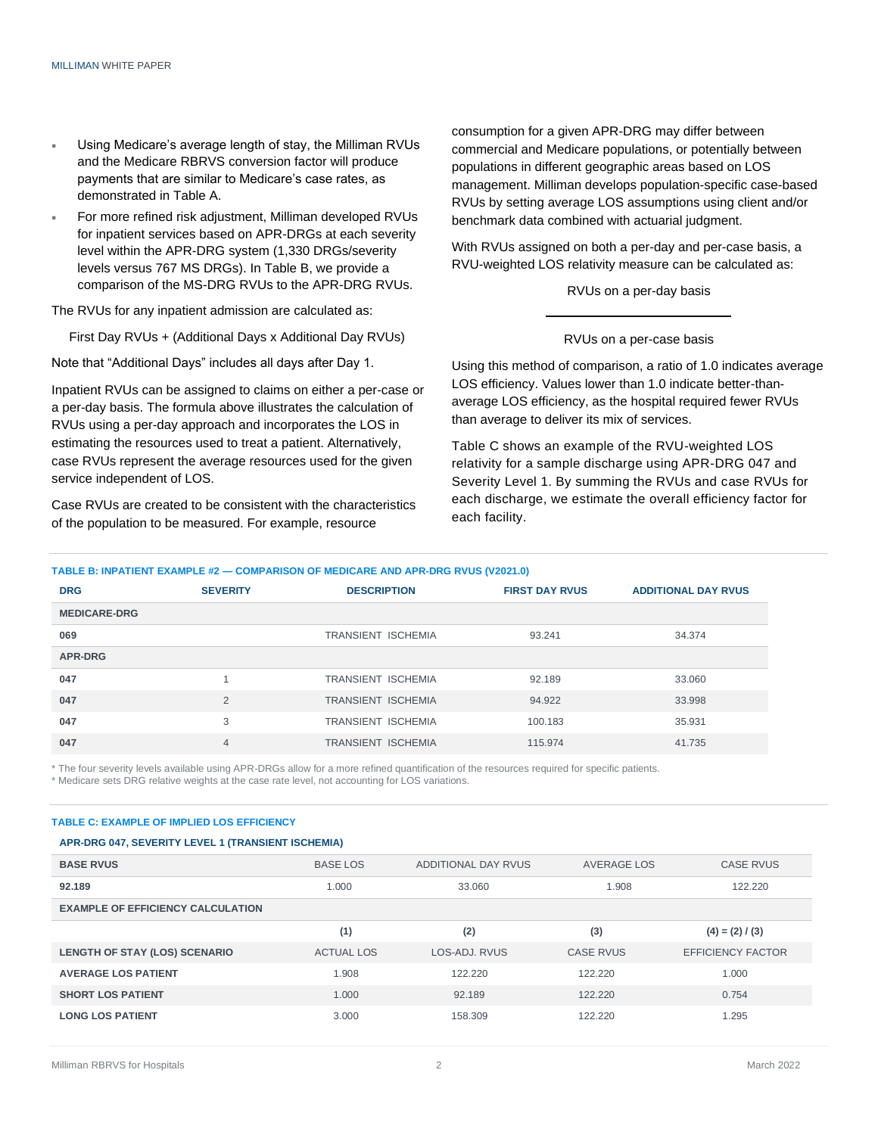- Using Medicare's average length of stay, the Milliman RVUs and the Medicare RBRVS conversion factor will produce payments that are similar to Medicare's case rates, as demonstrated in Table A.
- For more refined risk adjustment, Milliman developed RVUs for inpatient services based on APR-DRGs at each severity level within the APR-DRG system (1,330 DRGs/severity levels versus 767 MS DRGs). In Table B, we provide a comparison of the MS-DRG RVUs to the APR-DRG RVUs.

The RVUs for any inpatient admission are calculated as:

First Day RVUs + (Additional Days x Additional Day RVUs)

Note that "Additional Days" includes all days after Day 1.

Inpatient RVUs can be assigned to claims on either a per-case or a per-day basis. The formula above illustrates the calculation of RVUs using a per-day approach and incorporates the LOS in estimating the resources used to treat a patient. Alternatively, case RVUs represent the average resources used for the given service independent of LOS.

Case RVUs are created to be consistent with the characteristics of the population to be measured. For example, resource

consumption for a given APR-DRG may differ between commercial and Medicare populations, or potentially between populations in different geographic areas based on LOS management. Milliman develops population-specific case-based RVUs by setting average LOS assumptions using client and/or benchmark data combined with actuarial judgment.

With RVUs assigned on both a per-day and per-case basis, a RVU-weighted LOS relativity measure can be calculated as:

#### RVUs on a per-day basis

#### RVUs on a per-case basis

Using this method of comparison, a ratio of 1.0 indicates average LOS efficiency. Values lower than 1.0 indicate better-thanaverage LOS efficiency, as the hospital required fewer RVUs than average to deliver its mix of services.

Table C shows an example of the RVU-weighted LOS relativity for a sample discharge using APR-DRG 047 and Severity Level 1. By summing the RVUs and case RVUs for each discharge, we estimate the overall efficiency factor for each facility.

#### **TABLE B: INPATIENT EXAMPLE #2 — COMPARISON OF MEDICARE AND APR-DRG RVUS (V2021.0)**

| <b>DRG</b>          | <b>SEVERITY</b> | <b>DESCRIPTION</b>        | <b>FIRST DAY RVUS</b> | <b>ADDITIONAL DAY RVUS</b> |
|---------------------|-----------------|---------------------------|-----------------------|----------------------------|
| <b>MEDICARE-DRG</b> |                 |                           |                       |                            |
| 069                 |                 | <b>TRANSIENT ISCHEMIA</b> | 93.241                | 34.374                     |
| APR-DRG             |                 |                           |                       |                            |
| 047                 |                 | <b>TRANSIENT ISCHEMIA</b> | 92.189                | 33.060                     |
| 047                 | 2               | <b>TRANSIENT ISCHEMIA</b> | 94.922                | 33.998                     |
| 047                 | 3               | <b>TRANSIENT ISCHEMIA</b> | 100.183               | 35.931                     |
| 047                 | $\overline{4}$  | <b>TRANSIENT ISCHEMIA</b> | 115.974               | 41.735                     |

\* The four severity levels available using APR-DRGs allow for a more refined quantification of the resources required for specific patients. \* Medicare sets DRG relative weights at the case rate level, not accounting for LOS variations.

#### **TABLE C: EXAMPLE OF IMPLIED LOS EFFICIENCY**

#### **APR-DRG 047, SEVERITY LEVEL 1 (TRANSIENT ISCHEMIA)**

| <b>BASE RVUS</b>                         | <b>BASE LOS</b>   | ADDITIONAL DAY RVUS | AVERAGE LOS      | <b>CASE RVUS</b>         |
|------------------------------------------|-------------------|---------------------|------------------|--------------------------|
| 92.189                                   | 1.000             | 33.060              | 1.908            | 122.220                  |
| <b>EXAMPLE OF EFFICIENCY CALCULATION</b> |                   |                     |                  |                          |
|                                          | (1)               | (2)                 | (3)              | $(4) = (2) / (3)$        |
| LENGTH OF STAY (LOS) SCENARIO            | <b>ACTUAL LOS</b> | LOS-ADJ, RVUS       | <b>CASE RVUS</b> | <b>EFFICIENCY FACTOR</b> |
| <b>AVERAGE LOS PATIENT</b>               | 1.908             | 122.220             | 122,220          | 1.000                    |
| <b>SHORT LOS PATIENT</b>                 | 1.000             | 92.189              | 122,220          | 0.754                    |
| <b>LONG LOS PATIENT</b>                  | 3.000             | 158.309             | 122,220          | 1.295                    |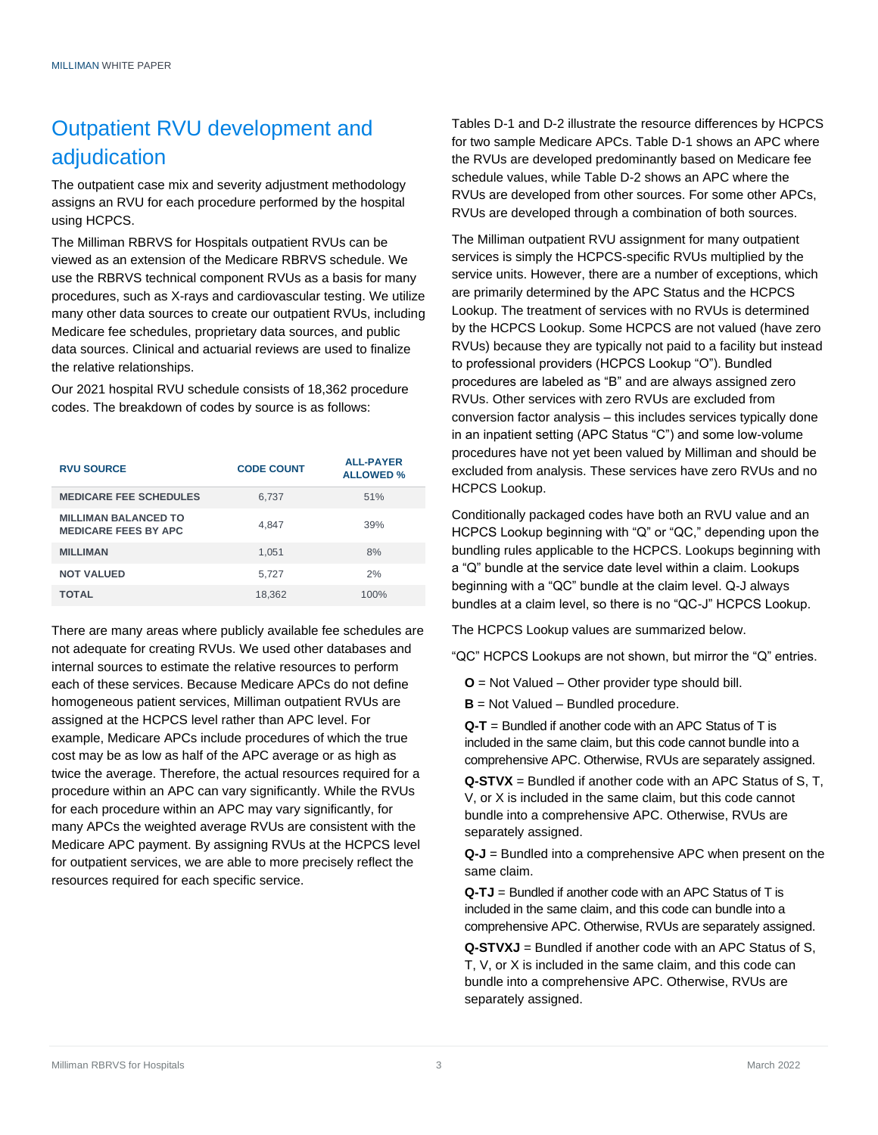## Outpatient RVU development and adjudication

The outpatient case mix and severity adjustment methodology assigns an RVU for each procedure performed by the hospital using HCPCS.

The Milliman RBRVS for Hospitals outpatient RVUs can be viewed as an extension of the Medicare RBRVS schedule. We use the RBRVS technical component RVUs as a basis for many procedures, such as X-rays and cardiovascular testing. We utilize many other data sources to create our outpatient RVUs, including Medicare fee schedules, proprietary data sources, and public data sources. Clinical and actuarial reviews are used to finalize the relative relationships.

Our 2021 hospital RVU schedule consists of 18,362 procedure codes. The breakdown of codes by source is as follows:

| <b>RVU SOURCE</b>                                          | <b>CODE COUNT</b> | <b>ALL-PAYER</b><br><b>ALLOWED %</b> |
|------------------------------------------------------------|-------------------|--------------------------------------|
| <b>MEDICARE FEE SCHEDULES</b>                              | 6,737             | 51%                                  |
| <b>MILLIMAN BALANCED TO</b><br><b>MEDICARE FEES BY APC</b> | 4,847             | 39%                                  |
| <b>MILLIMAN</b>                                            | 1.051             | 8%                                   |
| <b>NOT VALUED</b>                                          | 5.727             | 2%                                   |
| <b>TOTAL</b>                                               | 18,362            | 100%                                 |

There are many areas where publicly available fee schedules are not adequate for creating RVUs. We used other databases and internal sources to estimate the relative resources to perform each of these services. Because Medicare APCs do not define homogeneous patient services, Milliman outpatient RVUs are assigned at the HCPCS level rather than APC level. For example, Medicare APCs include procedures of which the true cost may be as low as half of the APC average or as high as twice the average. Therefore, the actual resources required for a procedure within an APC can vary significantly. While the RVUs for each procedure within an APC may vary significantly, for many APCs the weighted average RVUs are consistent with the Medicare APC payment. By assigning RVUs at the HCPCS level for outpatient services, we are able to more precisely reflect the resources required for each specific service.

Tables D-1 and D-2 illustrate the resource differences by HCPCS for two sample Medicare APCs. Table D-1 shows an APC where the RVUs are developed predominantly based on Medicare fee schedule values, while Table D-2 shows an APC where the RVUs are developed from other sources. For some other APCs, RVUs are developed through a combination of both sources.

The Milliman outpatient RVU assignment for many outpatient services is simply the HCPCS-specific RVUs multiplied by the service units. However, there are a number of exceptions, which are primarily determined by the APC Status and the HCPCS Lookup. The treatment of services with no RVUs is determined by the HCPCS Lookup. Some HCPCS are not valued (have zero RVUs) because they are typically not paid to a facility but instead to professional providers (HCPCS Lookup "O"). Bundled procedures are labeled as "B" and are always assigned zero RVUs. Other services with zero RVUs are excluded from conversion factor analysis – this includes services typically done in an inpatient setting (APC Status "C") and some low-volume procedures have not yet been valued by Milliman and should be excluded from analysis. These services have zero RVUs and no HCPCS Lookup.

Conditionally packaged codes have both an RVU value and an HCPCS Lookup beginning with "Q" or "QC," depending upon the bundling rules applicable to the HCPCS. Lookups beginning with a "Q" bundle at the service date level within a claim. Lookups beginning with a "QC" bundle at the claim level. Q-J always bundles at a claim level, so there is no "QC-J" HCPCS Lookup.

The HCPCS Lookup values are summarized below.

"QC" HCPCS Lookups are not shown, but mirror the "Q" entries.

**O** = Not Valued – Other provider type should bill.

**B** = Not Valued – Bundled procedure.

**Q-T** = Bundled if another code with an APC Status of T is included in the same claim, but this code cannot bundle into a comprehensive APC. Otherwise, RVUs are separately assigned.

**Q-STVX** = Bundled if another code with an APC Status of S, T, V, or X is included in the same claim, but this code cannot bundle into a comprehensive APC. Otherwise, RVUs are separately assigned.

**Q-J** = Bundled into a comprehensive APC when present on the same claim.

**Q-TJ** = Bundled if another code with an APC Status of T is included in the same claim, and this code can bundle into a comprehensive APC. Otherwise, RVUs are separately assigned.

**Q-STVXJ** = Bundled if another code with an APC Status of S, T, V, or X is included in the same claim, and this code can bundle into a comprehensive APC. Otherwise, RVUs are separately assigned.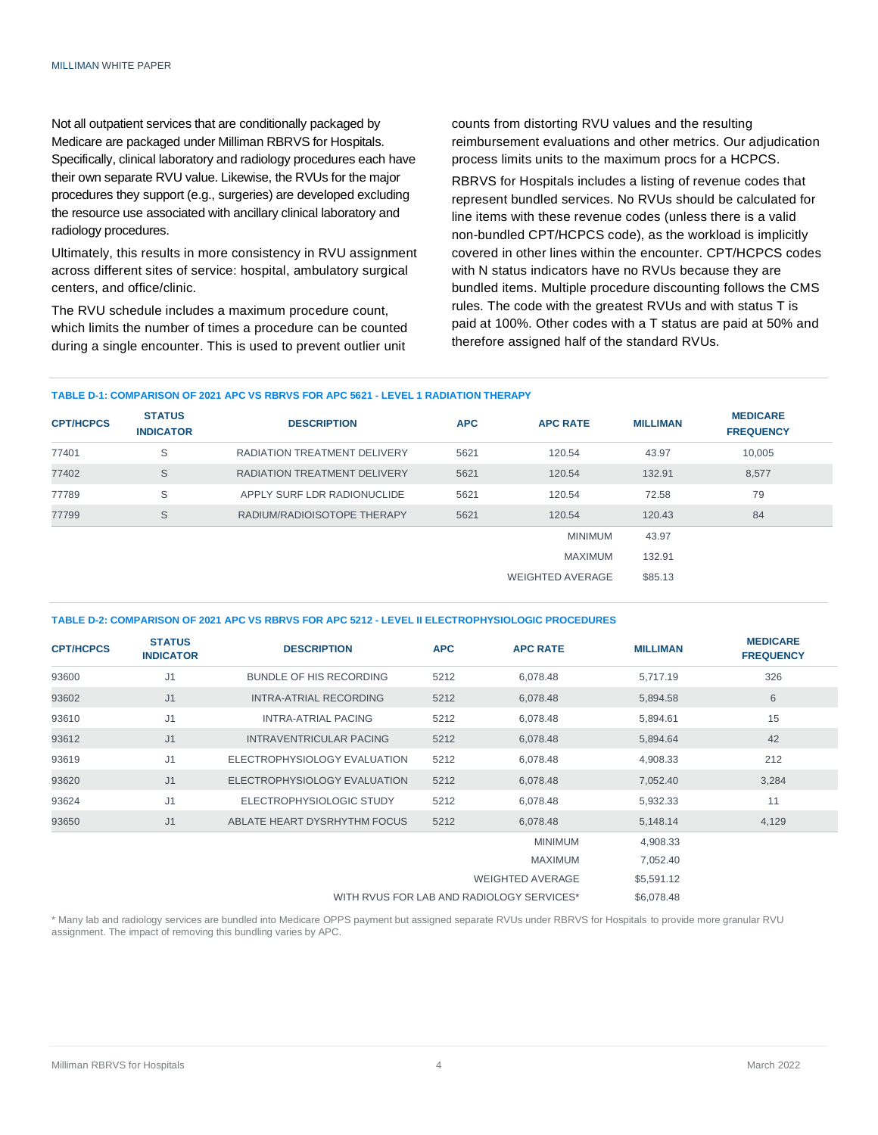Not all outpatient services that are conditionally packaged by Medicare are packaged under Milliman RBRVS for Hospitals. Specifically, clinical laboratory and radiology procedures each have their own separate RVU value. Likewise, the RVUs for the major procedures they support (e.g., surgeries) are developed excluding the resource use associated with ancillary clinical laboratory and radiology procedures.

Ultimately, this results in more consistency in RVU assignment across different sites of service: hospital, ambulatory surgical centers, and office/clinic.

The RVU schedule includes a maximum procedure count, which limits the number of times a procedure can be counted during a single encounter. This is used to prevent outlier unit

counts from distorting RVU values and the resulting reimbursement evaluations and other metrics. Our adjudication process limits units to the maximum procs for a HCPCS.

RBRVS for Hospitals includes a listing of revenue codes that represent bundled services. No RVUs should be calculated for line items with these revenue codes (unless there is a valid non-bundled CPT/HCPCS code), as the workload is implicitly covered in other lines within the encounter. CPT/HCPCS codes with N status indicators have no RVUs because they are bundled items. Multiple procedure discounting follows the CMS rules. The code with the greatest RVUs and with status T is paid at 100%. Other codes with a T status are paid at 50% and therefore assigned half of the standard RVUs.

### **TABLE D-1: COMPARISON OF 2021 APC VS RBRVS FOR APC 5621 - LEVEL 1 RADIATION THERAPY**

| <b>CPT/HCPCS</b> | <b>STATUS</b><br><b>INDICATOR</b> | <b>DESCRIPTION</b>                  | <b>APC</b> | <b>APC RATE</b>         | <b>MILLIMAN</b> | <b>MEDICARE</b><br><b>FREQUENCY</b> |
|------------------|-----------------------------------|-------------------------------------|------------|-------------------------|-----------------|-------------------------------------|
| 77401            | S                                 | <b>RADIATION TREATMENT DELIVERY</b> | 5621       | 120.54                  | 43.97           | 10,005                              |
| 77402            | S                                 | <b>RADIATION TREATMENT DELIVERY</b> | 5621       | 120.54                  | 132.91          | 8,577                               |
| 77789            | S                                 | APPLY SURF LDR RADIONUCLIDE         | 5621       | 120.54                  | 72.58           | 79                                  |
| 77799            | S                                 | RADIUM/RADIOISOTOPE THERAPY         | 5621       | 120.54                  | 120.43          | 84                                  |
|                  |                                   |                                     |            | <b>MINIMUM</b>          | 43.97           |                                     |
|                  |                                   |                                     |            | MAXIMUM                 | 132.91          |                                     |
|                  |                                   |                                     |            | <b>WEIGHTED AVERAGE</b> | \$85.13         |                                     |

#### **TABLE D-2: COMPARISON OF 2021 APC VS RBRVS FOR APC 5212 - LEVEL II ELECTROPHYSIOLOGIC PROCEDURES**

| <b>CPT/HCPCS</b> | <b>STATUS</b><br><b>INDICATOR</b> | <b>DESCRIPTION</b>             | <b>APC</b> | <b>APC RATE</b>         | <b>MILLIMAN</b> | <b>MEDICARE</b><br><b>FREQUENCY</b> |
|------------------|-----------------------------------|--------------------------------|------------|-------------------------|-----------------|-------------------------------------|
| 93600            | J <sub>1</sub>                    | BUNDLE OF HIS RECORDING        | 5212       | 6,078.48                | 5,717.19        | 326                                 |
| 93602            | J <sub>1</sub>                    | INTRA-ATRIAL RECORDING         | 5212       | 6,078.48                | 5,894.58        | 6                                   |
| 93610            | J <sub>1</sub>                    | INTRA-ATRIAL PACING            | 5212       | 6,078.48                | 5,894.61        | 15                                  |
| 93612            | J <sub>1</sub>                    | <b>INTRAVENTRICULAR PACING</b> | 5212       | 6,078.48                | 5,894.64        | 42                                  |
| 93619            | J1                                | ELECTROPHYSIOLOGY EVALUATION   | 5212       | 6,078.48                | 4,908.33        | 212                                 |
| 93620            | J <sub>1</sub>                    | ELECTROPHYSIOLOGY EVALUATION   | 5212       | 6,078.48                | 7,052.40        | 3,284                               |
| 93624            | J <sub>1</sub>                    | ELECTROPHYSIOLOGIC STUDY       | 5212       | 6,078.48                | 5,932.33        | 11                                  |
| 93650            | J <sub>1</sub>                    | ABLATE HEART DYSRHYTHM FOCUS   | 5212       | 6,078.48                | 5,148.14        | 4,129                               |
|                  |                                   |                                |            | <b>MINIMUM</b>          | 4,908.33        |                                     |
|                  |                                   |                                |            | <b>MAXIMUM</b>          | 7,052.40        |                                     |
|                  |                                   |                                |            | <b>WEIGHTED AVERAGE</b> | \$5,591.12      |                                     |

WITH RVUS FOR LAB AND RADIOLOGY SERVICES\* \$6,078.48

\* Many lab and radiology services are bundled into Medicare OPPS payment but assigned separate RVUs under RBRVS for Hospitals to provide more granular RVU assignment. The impact of removing this bundling varies by APC.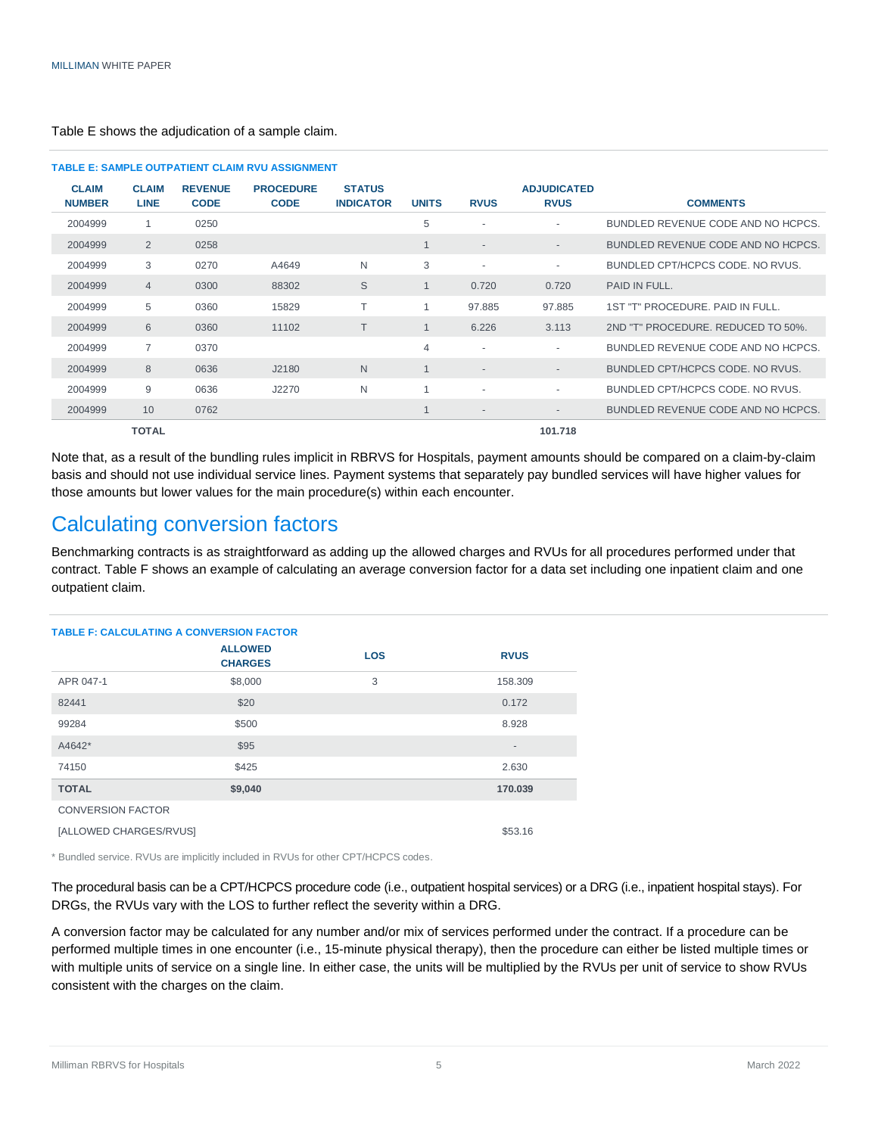|                               |                             |                               | <b>TABLE E: SAMPLE OUTPATIENT CLAIM RVU ASSIGNMENT</b> |                                   |                |                          |                                   |                                    |
|-------------------------------|-----------------------------|-------------------------------|--------------------------------------------------------|-----------------------------------|----------------|--------------------------|-----------------------------------|------------------------------------|
| <b>CLAIM</b><br><b>NUMBER</b> | <b>CLAIM</b><br><b>LINE</b> | <b>REVENUE</b><br><b>CODE</b> | <b>PROCEDURE</b><br><b>CODE</b>                        | <b>STATUS</b><br><b>INDICATOR</b> | <b>UNITS</b>   | <b>RVUS</b>              | <b>ADJUDICATED</b><br><b>RVUS</b> | <b>COMMENTS</b>                    |
| 2004999                       | 1                           | 0250                          |                                                        |                                   | 5              | $\overline{\phantom{a}}$ | ٠                                 | BUNDLED REVENUE CODE AND NO HCPCS. |
| 2004999                       | 2                           | 0258                          |                                                        |                                   | 1              | $\overline{\phantom{a}}$ | $\overline{\phantom{a}}$          | BUNDLED REVENUE CODE AND NO HCPCS. |
| 2004999                       | 3                           | 0270                          | A4649                                                  | N                                 | 3              | $\sim$                   | $\sim$                            | BUNDLED CPT/HCPCS CODE, NO RVUS.   |
| 2004999                       | $\overline{4}$              | 0300                          | 88302                                                  | S                                 | $\mathbf{1}$   | 0.720                    | 0.720                             | PAID IN FULL.                      |
| 2004999                       | 5                           | 0360                          | 15829                                                  | Τ                                 | 1              | 97.885                   | 97.885                            | 1ST "T" PROCEDURE, PAID IN FULL.   |
| 2004999                       | 6                           | 0360                          | 11102                                                  | T                                 | $\mathbf 1$    | 6.226                    | 3.113                             | 2ND "T" PROCEDURE. REDUCED TO 50%. |
| 2004999                       | $\overline{7}$              | 0370                          |                                                        |                                   | $\overline{4}$ | $\overline{\phantom{a}}$ | $\sim$                            | BUNDLED REVENUE CODE AND NO HCPCS. |
| 2004999                       | 8                           | 0636                          | J2180                                                  | N                                 | $\mathbf{1}$   | $\overline{\phantom{a}}$ | $\overline{\phantom{a}}$          | BUNDLED CPT/HCPCS CODE, NO RVUS.   |
| 2004999                       | 9                           | 0636                          | J2270                                                  | N                                 | 1              | ٠                        | $\sim$                            | BUNDLED CPT/HCPCS CODE, NO RVUS.   |
| 2004999                       | 10 <sup>°</sup>             | 0762                          |                                                        |                                   | 1              | $\overline{\phantom{a}}$ | $\overline{\phantom{a}}$          | BUNDLED REVENUE CODE AND NO HCPCS. |
|                               | <b>TOTAL</b>                |                               |                                                        |                                   |                |                          | 101.718                           |                                    |

Table E shows the adjudication of a sample claim.

Note that, as a result of the bundling rules implicit in RBRVS for Hospitals, payment amounts should be compared on a claim-by-claim basis and should not use individual service lines. Payment systems that separately pay bundled services will have higher values for those amounts but lower values for the main procedure(s) within each encounter.

### Calculating conversion factors

Benchmarking contracts is as straightforward as adding up the allowed charges and RVUs for all procedures performed under that contract. Table F shows an example of calculating an average conversion factor for a data set including one inpatient claim and one outpatient claim.

| <b>TABLE F: CALCULATING A CONVERSION FACTOR</b> |                                  |            |                          |
|-------------------------------------------------|----------------------------------|------------|--------------------------|
|                                                 | <b>ALLOWED</b><br><b>CHARGES</b> | <b>LOS</b> | <b>RVUS</b>              |
| APR 047-1                                       | \$8,000                          | 3          | 158.309                  |
| 82441                                           | \$20                             |            | 0.172                    |
| 99284                                           | \$500                            |            | 8.928                    |
| A4642*                                          | \$95                             |            | $\overline{\phantom{a}}$ |
| 74150                                           | \$425                            |            | 2.630                    |
| <b>TOTAL</b>                                    | \$9,040                          |            | 170.039                  |
| <b>CONVERSION FACTOR</b>                        |                                  |            |                          |
| [ALLOWED CHARGES/RVUS]                          |                                  |            | \$53.16                  |

\* Bundled service. RVUs are implicitly included in RVUs for other CPT/HCPCS codes.

The procedural basis can be a CPT/HCPCS procedure code (i.e., outpatient hospital services) or a DRG (i.e., inpatient hospital stays). For DRGs, the RVUs vary with the LOS to further reflect the severity within a DRG.

A conversion factor may be calculated for any number and/or mix of services performed under the contract. If a procedure can be performed multiple times in one encounter (i.e., 15-minute physical therapy), then the procedure can either be listed multiple times or with multiple units of service on a single line. In either case, the units will be multiplied by the RVUs per unit of service to show RVUs consistent with the charges on the claim.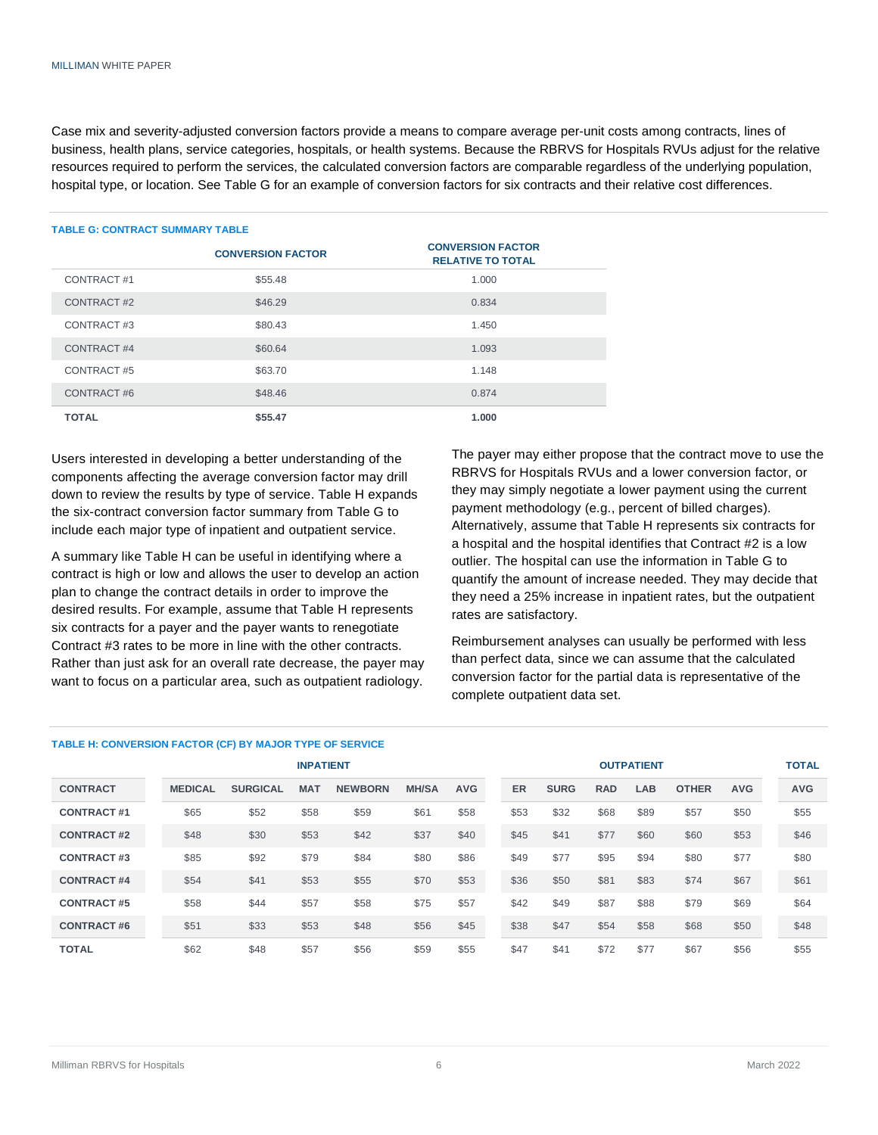Case mix and severity-adjusted conversion factors provide a means to compare average per-unit costs among contracts, lines of business, health plans, service categories, hospitals, or health systems. Because the RBRVS for Hospitals RVUs adjust for the relative resources required to perform the services, the calculated conversion factors are comparable regardless of the underlying population, hospital type, or location. See Table G for an example of conversion factors for six contracts and their relative cost differences.

#### **TABLE G: CONTRACT SUMMARY TABLE**

|              | <b>CONVERSION FACTOR</b> | <b>CONVERSION FACTOR</b><br><b>RELATIVE TO TOTAL</b> |
|--------------|--------------------------|------------------------------------------------------|
| CONTRACT#1   | \$55.48                  | 1.000                                                |
| CONTRACT#2   | \$46.29                  | 0.834                                                |
| CONTRACT#3   | \$80.43                  | 1.450                                                |
| CONTRACT#4   | \$60.64                  | 1.093                                                |
| CONTRACT#5   | \$63.70                  | 1.148                                                |
| CONTRACT#6   | \$48.46                  | 0.874                                                |
| <b>TOTAL</b> | \$55.47                  | 1.000                                                |

Users interested in developing a better understanding of the components affecting the average conversion factor may drill down to review the results by type of service. Table H expands the six-contract conversion factor summary from Table G to include each major type of inpatient and outpatient service.

A summary like Table H can be useful in identifying where a contract is high or low and allows the user to develop an action plan to change the contract details in order to improve the desired results. For example, assume that Table H represents six contracts for a payer and the payer wants to renegotiate Contract #3 rates to be more in line with the other contracts. Rather than just ask for an overall rate decrease, the payer may want to focus on a particular area, such as outpatient radiology.

#### **TABLE H: CONVERSION FACTOR (CF) BY MAJOR TYPE OF SERVICE**

The payer may either propose that the contract move to use the RBRVS for Hospitals RVUs and a lower conversion factor, or they may simply negotiate a lower payment using the current payment methodology (e.g., percent of billed charges). Alternatively, assume that Table H represents six contracts for a hospital and the hospital identifies that Contract #2 is a low outlier. The hospital can use the information in Table G to quantify the amount of increase needed. They may decide that they need a 25% increase in inpatient rates, but the outpatient rates are satisfactory.

Reimbursement analyses can usually be performed with less than perfect data, since we can assume that the calculated conversion factor for the partial data is representative of the complete outpatient data set.

|                   |                |                 | <b>INPATIENT</b> |                |              |            |      |             |            | <b>OUTPATIENT</b> |              |            |
|-------------------|----------------|-----------------|------------------|----------------|--------------|------------|------|-------------|------------|-------------------|--------------|------------|
| <b>CONTRACT</b>   | <b>MEDICAL</b> | <b>SURGICAL</b> | <b>MAT</b>       | <b>NEWBORN</b> | <b>MH/SA</b> | <b>AVG</b> | ER   | <b>SURG</b> | <b>RAD</b> | LAB.              | <b>OTHER</b> | <b>AVG</b> |
| <b>CONTRACT#1</b> | \$65           | \$52            | \$58             | \$59           | \$61         | \$58       | \$53 | \$32        | \$68       | \$89              | \$57         | \$50       |
| <b>CONTRACT#2</b> | \$48           | \$30            | \$53             | \$42           | \$37         | \$40       | \$45 | \$41        | \$77       | \$60              | \$60         | \$53       |
| <b>CONTRACT#3</b> | \$85           | \$92            | \$79             | \$84           | \$80         | \$86       | \$49 | \$77        | \$95       | \$94              | \$80         | \$77       |
| <b>CONTRACT#4</b> | \$54           | \$41            | \$53             | \$55           | \$70         | \$53       | \$36 | \$50        | \$81       | \$83              | \$74         | \$67       |
| <b>CONTRACT#5</b> | \$58           | \$44            | \$57             | \$58           | \$75         | \$57       | \$42 | \$49        | \$87       | \$88              | \$79         | \$69       |
| <b>CONTRACT#6</b> | \$51           | \$33            | \$53             | \$48           | \$56         | \$45       | \$38 | \$47        | \$54       | \$58              | \$68         | \$50       |
| <b>TOTAL</b>      | \$62           | \$48            | \$57             | \$56           | \$59         | \$55       | \$47 | \$41        | \$72       | \$77              | \$67         | \$56       |